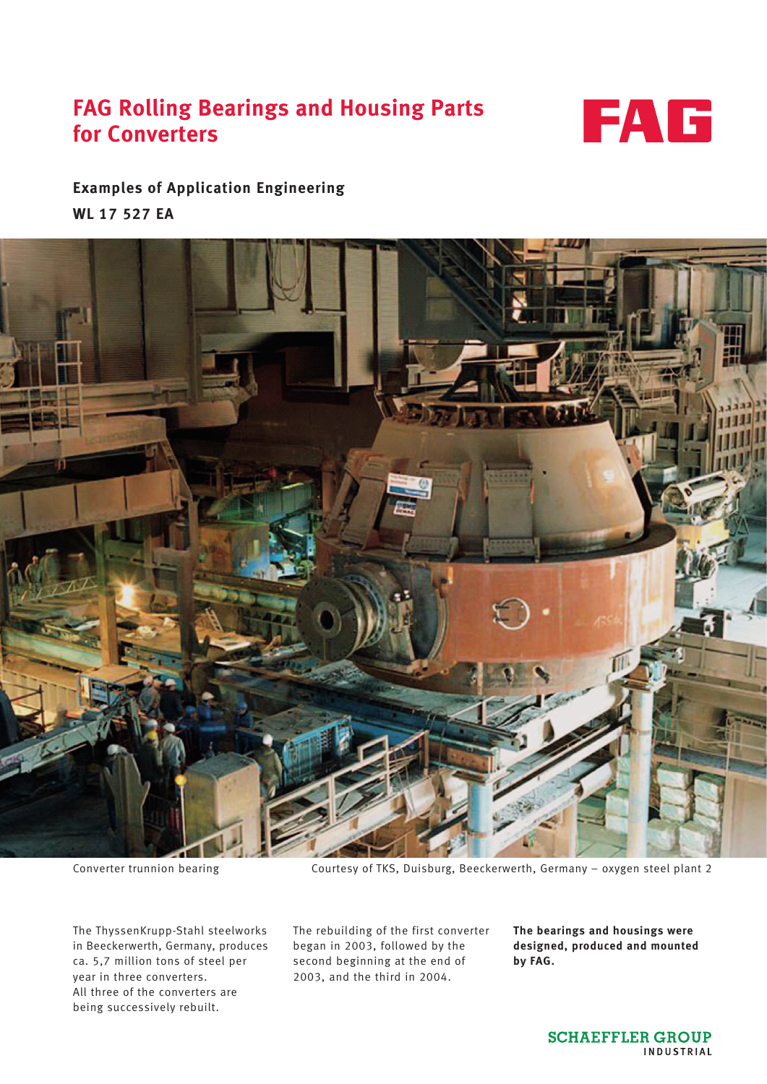# **FAG Rolling Bearings and Housing Parts for Converters**



# **Examples of Application Engineering WL 17 527 EA**



The ThyssenKrupp-Stahl steelworks in Beeckerwerth, Germany, produces ca. 5,7 million tons of steel per year in three converters. All three of the converters are being successively rebuilt.

Converter trunnion bearing Courtesy of TKS, Duisburg, Beeckerwerth, Germany – oxygen steel plant 2

The rebuilding of the first converter began in 2003, followed by the second beginning at the end of 2003, and the third in 2004.

**The bearings and housings were designed, produced and mounted by FAG.**